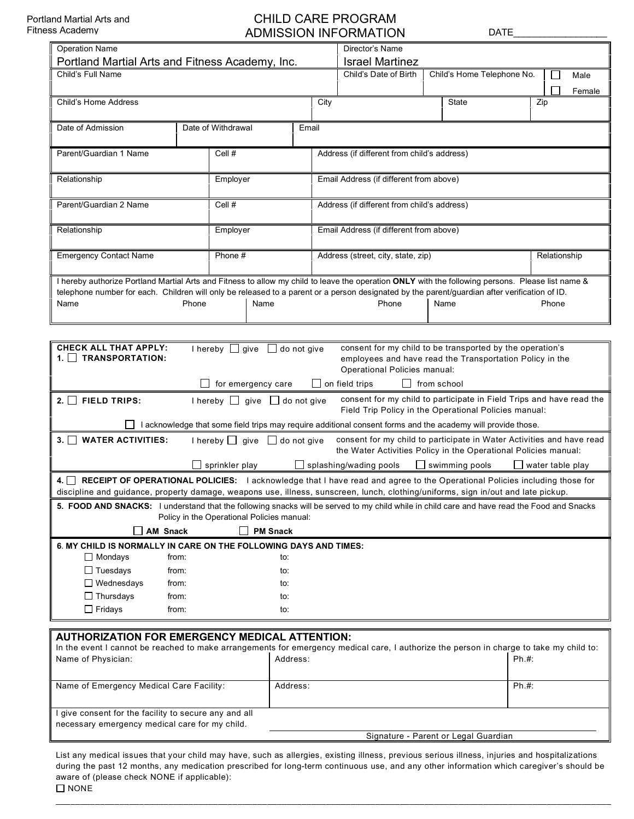## CHILD CARE PROGRAM ADMISSION INFORMATION DATE

| <b>Operation Name</b>                                                                                                                                                                                       |       |                                         |          |      | Director's Name                                                                                                                                                 |                            |                      |  |
|-------------------------------------------------------------------------------------------------------------------------------------------------------------------------------------------------------------|-------|-----------------------------------------|----------|------|-----------------------------------------------------------------------------------------------------------------------------------------------------------------|----------------------------|----------------------|--|
| Portland Martial Arts and Fitness Academy, Inc.                                                                                                                                                             |       |                                         |          |      | <b>Israel Martinez</b>                                                                                                                                          |                            |                      |  |
| Child's Full Name                                                                                                                                                                                           |       |                                         |          |      | Child's Date of Birth                                                                                                                                           | Child's Home Telephone No. | $\mathsf{L}$<br>Male |  |
|                                                                                                                                                                                                             |       |                                         |          |      |                                                                                                                                                                 |                            | Female               |  |
| Child's Home Address                                                                                                                                                                                        |       |                                         |          | City |                                                                                                                                                                 | State                      | Zip                  |  |
|                                                                                                                                                                                                             |       |                                         |          |      |                                                                                                                                                                 |                            |                      |  |
| Date of Admission<br>Date of Withdrawal                                                                                                                                                                     |       |                                         | Email    |      |                                                                                                                                                                 |                            |                      |  |
|                                                                                                                                                                                                             |       |                                         |          |      |                                                                                                                                                                 |                            |                      |  |
| Parent/Guardian 1 Name                                                                                                                                                                                      |       | Cell #                                  |          |      | Address (if different from child's address)                                                                                                                     |                            |                      |  |
|                                                                                                                                                                                                             |       |                                         |          |      |                                                                                                                                                                 |                            |                      |  |
| Relationship                                                                                                                                                                                                |       | Employer                                |          |      | Email Address (if different from above)                                                                                                                         |                            |                      |  |
|                                                                                                                                                                                                             |       |                                         |          |      |                                                                                                                                                                 |                            |                      |  |
| Parent/Guardian 2 Name                                                                                                                                                                                      |       | Cell #                                  |          |      | Address (if different from child's address)                                                                                                                     |                            |                      |  |
|                                                                                                                                                                                                             |       |                                         |          |      |                                                                                                                                                                 |                            |                      |  |
| Relationship                                                                                                                                                                                                |       | Employer                                |          |      | Email Address (if different from above)                                                                                                                         |                            |                      |  |
|                                                                                                                                                                                                             |       |                                         |          |      |                                                                                                                                                                 |                            |                      |  |
| <b>Emergency Contact Name</b>                                                                                                                                                                               |       | Phone #                                 |          |      | Address (street, city, state, zip)                                                                                                                              |                            | Relationship         |  |
|                                                                                                                                                                                                             |       |                                         |          |      |                                                                                                                                                                 |                            |                      |  |
| I hereby authorize Portland Martial Arts and Fitness to allow my child to leave the operation ONLY with the following persons. Please list name &                                                           |       |                                         |          |      |                                                                                                                                                                 |                            |                      |  |
|                                                                                                                                                                                                             | Phone | Name                                    |          |      | telephone number for each. Children will only be released to a parent or a person designated by the parent/guardian after verification of ID.<br>Phone<br>Phone |                            |                      |  |
| Name                                                                                                                                                                                                        |       |                                         |          |      | Name                                                                                                                                                            |                            |                      |  |
|                                                                                                                                                                                                             |       |                                         |          |      |                                                                                                                                                                 |                            |                      |  |
|                                                                                                                                                                                                             |       |                                         |          |      |                                                                                                                                                                 |                            |                      |  |
| <b>CHECK ALL THAT APPLY:</b>                                                                                                                                                                                |       | I hereby $\Box$ give $\Box$ do not give |          |      | consent for my child to be transported by the operation's                                                                                                       |                            |                      |  |
| 1. TRANSPORTATION:<br>employees and have read the Transportation Policy in the                                                                                                                              |       |                                         |          |      |                                                                                                                                                                 |                            |                      |  |
| Operational Policies manual:                                                                                                                                                                                |       |                                         |          |      |                                                                                                                                                                 |                            |                      |  |
| $\Box$ for emergency care<br>$\Box$ on field trips<br>$\vert \vert$ from school                                                                                                                             |       |                                         |          |      |                                                                                                                                                                 |                            |                      |  |
| consent for my child to participate in Field Trips and have read the<br>$2.$ FIELD TRIPS:<br>I hereby $\Box$ give $\Box$ do not give<br>Field Trip Policy in the Operational Policies manual:               |       |                                         |          |      |                                                                                                                                                                 |                            |                      |  |
|                                                                                                                                                                                                             |       |                                         |          |      |                                                                                                                                                                 |                            |                      |  |
| I acknowledge that some field trips may require additional consent forms and the academy will provide those.                                                                                                |       |                                         |          |      |                                                                                                                                                                 |                            |                      |  |
| consent for my child to participate in Water Activities and have read<br>3. WATER ACTIVITIES:<br>I hereby $\Box$ give $\Box$ do not give<br>the Water Activities Policy in the Operational Policies manual: |       |                                         |          |      |                                                                                                                                                                 |                            |                      |  |
|                                                                                                                                                                                                             |       |                                         |          |      |                                                                                                                                                                 |                            |                      |  |
|                                                                                                                                                                                                             |       | sprinkler play                          |          |      | splashing/wading pools                                                                                                                                          | swimming pools             | water table play     |  |
| 4. RECEIPT OF OPERATIONAL POLICIES: I acknowledge that I have read and agree to the Operational Policies including those for                                                                                |       |                                         |          |      |                                                                                                                                                                 |                            |                      |  |
| discipline and guidance, property damage, weapons use, illness, sunscreen, lunch, clothing/uniforms, sign in/out and late pickup.                                                                           |       |                                         |          |      |                                                                                                                                                                 |                            |                      |  |
| 5. FOOD AND SNACKS: I understand that the following snacks will be served to my child while in child care and have read the Food and Snacks                                                                 |       |                                         |          |      |                                                                                                                                                                 |                            |                      |  |
| Policy in the Operational Policies manual:                                                                                                                                                                  |       |                                         |          |      |                                                                                                                                                                 |                            |                      |  |
| <b>PM Snack</b><br>│ │ AM Snack                                                                                                                                                                             |       |                                         |          |      |                                                                                                                                                                 |                            |                      |  |
| 6. MY CHILD IS NORMALLY IN CARE ON THE FOLLOWING DAYS AND TIMES:                                                                                                                                            |       |                                         |          |      |                                                                                                                                                                 |                            |                      |  |
| $\Box$ Mondays<br>from:                                                                                                                                                                                     |       |                                         | to:      |      |                                                                                                                                                                 |                            |                      |  |
| $\Box$ Tuesdays<br>from:<br>to:                                                                                                                                                                             |       |                                         |          |      |                                                                                                                                                                 |                            |                      |  |
| $\Box$ Wednesdays<br>from:<br>to:                                                                                                                                                                           |       |                                         |          |      |                                                                                                                                                                 |                            |                      |  |
| $\Box$ Thursdays<br>from:<br>to:                                                                                                                                                                            |       |                                         |          |      |                                                                                                                                                                 |                            |                      |  |
| $\Box$ Fridays<br>from:<br>to:                                                                                                                                                                              |       |                                         |          |      |                                                                                                                                                                 |                            |                      |  |
|                                                                                                                                                                                                             |       |                                         |          |      |                                                                                                                                                                 |                            |                      |  |
| <b>AUTHORIZATION FOR EMERGENCY MEDICAL ATTENTION:</b><br>In the event I cannot be reached to make arrangements for emergency medical care, I authorize the person in charge to take my child to:            |       |                                         |          |      |                                                                                                                                                                 |                            |                      |  |
|                                                                                                                                                                                                             |       |                                         |          |      |                                                                                                                                                                 |                            |                      |  |
| Name of Physician:                                                                                                                                                                                          |       |                                         | Address: |      |                                                                                                                                                                 |                            | Ph.#:                |  |
| Name of Emergency Medical Care Facility:                                                                                                                                                                    |       |                                         | Address: |      |                                                                                                                                                                 |                            | Ph.#:                |  |
|                                                                                                                                                                                                             |       |                                         |          |      |                                                                                                                                                                 |                            |                      |  |

| I give consent for the facility to secure any and all |  |
|-------------------------------------------------------|--|
| necessary emergency medical care for my child.        |  |

List any medical issues that your child may have, such as allergies, existing illness, previous serious illness, injuries and hospitalizations during the past 12 months, any medication prescribed for long-term continuous use, and any other information which caregiver's should be aware of (please check NONE if applicable):  $\square$  NONE

Signature - Parent or Legal Guardian

\_\_\_\_\_\_\_\_\_\_\_\_\_\_\_\_\_\_\_\_\_\_\_\_\_\_\_\_\_\_\_\_\_\_\_\_\_\_\_\_\_\_\_\_\_\_\_\_\_\_\_\_\_\_\_\_\_\_\_\_\_\_\_\_\_\_\_\_\_\_\_\_\_\_\_\_\_\_\_\_\_\_\_\_\_\_\_\_\_\_\_\_\_\_\_\_\_\_\_\_\_\_\_\_\_\_\_\_\_\_\_\_\_